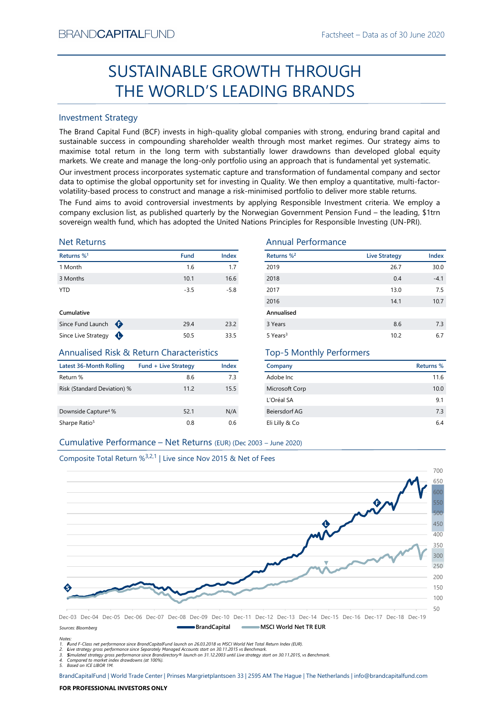# Factsheet – Data as of 30 June 2020<br> **SUGH** SUSTAINABLE GROWTH THROUGH THE WORLD'S LEADING BRANDS

# Investment Strategy

From NDCAPTIALI-UND<br>
Fractioneet – Usta as of 30 June 2020<br>
SUSTAINABLE GROWTH THROUGH<br>
THE WORLD'S LEADING BRANDS<br>
Investment Strategy<br>
The Brand Captible Turns in the long term with substantially global companies with s SUSTAINABLE GROWTH THROUGH<br>
THE WORLD'S LEADING BRANDS<br>
Investment Strategy<br>
IThe Brand Gapital Fund (8CF) invests in high-quality global companies with strong, enduring brand capital and<br>
sustainable success in componing BRAND**CAPITAL**FUND<br>
SUSTAINABLE GROWTH THROUGH<br>
THE WORLD'S LEADING BRANDS<br>
Investment Strategy<br>
The Brand Capital Fund (BCF) invests in high-quality global companies with strong, enduring brand capital and<br>
sustainable su  $\begin{array}{c} \text{Factsheet-Data as of 30 June 2020}\\ \text{SUSTAINABLE GROWTH THROUGH}\\ \text{THE WORLD'S LEADING BRAMDS}\\ \text{Investment Strategy} \end{array} \end{array}$ BRAND**CAPITAL**FUND<br>
SUSTAINABLE GROWTH THROUGH<br>
THE WORLD'S LEADING BRANDS<br>
Investment Strategy<br>
Inte Brand Capital Fund (BCF) invests in high-quality global companies with strong, enduring brand capital and<br>
sustainable s BRAND**CAPITAL**FUND<br>
Factsheet – Data as of 30 June 2020<br>
SUSTAINABLE GROWTH THROUGH<br>
THE WORLD'S LEADING BRANDS<br>
Investment Strategy<br>
Investment Strategy<br>
The Brand Capital Fund (BCF) invests in high-quality global compani BRAND**CAPITAL**FUND<br>
SUSTAINABLE GROWTH THROUGH<br>
THE WORLD'S LEADING BRANDS<br>
Investment Strategy<br>
Investment Strategy<br>
Investment Strategy<br>
Investment Strategy<br>
Investment Strategy<br>
Investment Strategy<br>
and Captal invest of BRAND**CAPITAL**FUND<br>
SUSTAINABLE GROWTH THROUGH<br>
THE WORLD'S LEADING BRANDS<br>
Investment Strategy<br>
The Brand Capital Fund (BCF) invests in high-quality global companies with strong, enduring brand capital and<br>
The Brand Capi BRANDCAPITALFUND Factsheet – Data as of 30 June 2020<br>
SUSTAINABLE GROWTH THROUGH<br>
THE WORLD'S LEADING BRANDS<br>
Investment Strategy<br>
The Brand Capital Fund (BCF) invests in high-quality global companies with strong, enduring BRANDCAPITALFUND<br>
SUSTAINABLE GROWTH THROUGH<br>
THE WORLD'S LEADING BRANDS<br>
Investment Strategy<br>
Investment Strategy<br>
Investment Strategy<br>
Investment Strategy<br>
Sustainable success in compounding shareholder wealth through mo **EXAMDCAPITALFUND**<br>
SUSTAINABLE GROWTH THROUGH<br>
THE WORLD'S LEADING BRANDS<br>
Investment Strategy<br>
The Brand Capital Fund (BCF) invests in high-quality global companies with strong, enduring brand capital and<br>
sustsismable BRANDCAPITALFUND<br>
SUSTAINABLE GROWTH THROUGH<br>
THE WORLD'S LEADING BRANDS<br>
Investment Strategy<br>
Investment Strategy<br>
Investment Strategy<br>
Investment Strategy<br>
Sustainable success in compounding shareholder wealth funoupl m

## Net Returns

| Returns % <sup>1</sup> |   | <b>Fund</b> | <b>Index</b> |
|------------------------|---|-------------|--------------|
| 1 Month                |   | 1.6         | 1.7          |
| 3 Months               |   | 10.1        | 16.6         |
| <b>YTD</b>             |   | $-3.5$      | $-5.8$       |
| Cumulative             |   |             |              |
| Since Fund Launch      | ⊕ | 29.4        | 23.2         |

# Annualised Risk & Return Characteristics

| Latest 36-Month Rolling         | <b>Fund + Live Strategy</b> | Index |
|---------------------------------|-----------------------------|-------|
| Return %                        | 8.6                         | 73    |
| Risk (Standard Deviation) %     | 112                         | 15.5  |
| Downside Capture <sup>4</sup> % | 52.1                        | N/A   |
| Sharpe Ratio <sup>5</sup>       | 0.8                         | 0 6   |

# Annual Performance

| SUSTAINABLE GROWTH THROUGH<br>THE WORLD'S LEADING BRANDS<br><b>Investment Strategy</b><br>The Brand Capital Fund (BCF) invests in high-quality global companies with strong, enduring brand capital and<br>sustainable success in compounding shareholder wealth through most market regimes. Our strategy aims to<br>maximise total return in the long term with substantially lower drawdowns than developed global equity<br>markets. We create and manage the long-only portfolio using an approach that is fundamental yet systematic.<br>Our investment process incorporates systematic capture and transformation of fundamental company and sector<br>data to optimise the global opportunity set for investing in Quality. We then employ a quantitative, multi-factor-<br>volatility-based process to construct and manage a risk-minimised portfolio to deliver more stable returns.<br>The Fund aims to avoid controversial investments by applying Responsible Investment criteria. We employ a<br>company exclusion list, as published quarterly by the Norwegian Government Pension Fund - the leading, \$1trn<br>sovereign wealth fund, which has adopted the United Nations Principles for Responsible Investing (UN-PRI).<br><b>Net Returns</b><br><b>Annual Performance</b><br>Returns % <sup>2</sup><br>Index<br><b>Live Strategy</b><br><b>Fund</b><br>1.6<br>1.7<br>2019<br>26.7<br>16.6<br>2018<br>10.1<br>0.4<br>2017<br>$-3.5$<br>$-5.8$<br>13.0<br>2016<br>14.1<br>Annualised<br>23.2<br>3 Years<br>8.6<br>29.4<br>Since Live Strategy $\bigoplus$<br>50.5<br>33.5<br>5 Years <sup>3</sup><br>10.2<br><b>Annualised Risk &amp; Return Characteristics</b><br><b>Top-5 Monthly Performers</b><br><b>Latest 36-Month Rolling</b><br><b>Fund + Live Strategy</b><br><b>Index</b><br>Returns %<br>Company<br>7.3<br>Return %<br>8.6<br>Adobe Inc<br>Risk (Standard Deviation) %<br>15.5<br>Microsoft Corp<br>11.2<br>L'Oréal SA<br>9.1<br>52.1<br>N/A<br>7.3<br>Downside Capture <sup>4</sup> %<br>Beiersdorf AG<br>Sharpe Ratio <sup>5</sup><br>Eli Lilly & Co<br>$6.4\,$<br>0.8<br>0.6<br>Cumulative Performance - Net Returns (EUR) (Dec 2003 - June 2020)<br>Composite Total Return % <sup>3,2,1</sup>   Live since Nov 2015 & Net of Fees | BRANU <b>UAPHAL</b> FUND      |  | Factsheet – Data as of 30 June 2020 |        |
|----------------------------------------------------------------------------------------------------------------------------------------------------------------------------------------------------------------------------------------------------------------------------------------------------------------------------------------------------------------------------------------------------------------------------------------------------------------------------------------------------------------------------------------------------------------------------------------------------------------------------------------------------------------------------------------------------------------------------------------------------------------------------------------------------------------------------------------------------------------------------------------------------------------------------------------------------------------------------------------------------------------------------------------------------------------------------------------------------------------------------------------------------------------------------------------------------------------------------------------------------------------------------------------------------------------------------------------------------------------------------------------------------------------------------------------------------------------------------------------------------------------------------------------------------------------------------------------------------------------------------------------------------------------------------------------------------------------------------------------------------------------------------------------------------------------------------------------------------------------------------------------------------------------------------------------------------------------------------------------------------------------------------------------------------------------------------------------------------------------------------------------------------------------------------------------------------------------------------------------------------------------------|-------------------------------|--|-------------------------------------|--------|
|                                                                                                                                                                                                                                                                                                                                                                                                                                                                                                                                                                                                                                                                                                                                                                                                                                                                                                                                                                                                                                                                                                                                                                                                                                                                                                                                                                                                                                                                                                                                                                                                                                                                                                                                                                                                                                                                                                                                                                                                                                                                                                                                                                                                                                                                      |                               |  |                                     |        |
|                                                                                                                                                                                                                                                                                                                                                                                                                                                                                                                                                                                                                                                                                                                                                                                                                                                                                                                                                                                                                                                                                                                                                                                                                                                                                                                                                                                                                                                                                                                                                                                                                                                                                                                                                                                                                                                                                                                                                                                                                                                                                                                                                                                                                                                                      |                               |  |                                     |        |
|                                                                                                                                                                                                                                                                                                                                                                                                                                                                                                                                                                                                                                                                                                                                                                                                                                                                                                                                                                                                                                                                                                                                                                                                                                                                                                                                                                                                                                                                                                                                                                                                                                                                                                                                                                                                                                                                                                                                                                                                                                                                                                                                                                                                                                                                      |                               |  |                                     |        |
|                                                                                                                                                                                                                                                                                                                                                                                                                                                                                                                                                                                                                                                                                                                                                                                                                                                                                                                                                                                                                                                                                                                                                                                                                                                                                                                                                                                                                                                                                                                                                                                                                                                                                                                                                                                                                                                                                                                                                                                                                                                                                                                                                                                                                                                                      |                               |  |                                     |        |
|                                                                                                                                                                                                                                                                                                                                                                                                                                                                                                                                                                                                                                                                                                                                                                                                                                                                                                                                                                                                                                                                                                                                                                                                                                                                                                                                                                                                                                                                                                                                                                                                                                                                                                                                                                                                                                                                                                                                                                                                                                                                                                                                                                                                                                                                      |                               |  |                                     |        |
|                                                                                                                                                                                                                                                                                                                                                                                                                                                                                                                                                                                                                                                                                                                                                                                                                                                                                                                                                                                                                                                                                                                                                                                                                                                                                                                                                                                                                                                                                                                                                                                                                                                                                                                                                                                                                                                                                                                                                                                                                                                                                                                                                                                                                                                                      |                               |  |                                     |        |
|                                                                                                                                                                                                                                                                                                                                                                                                                                                                                                                                                                                                                                                                                                                                                                                                                                                                                                                                                                                                                                                                                                                                                                                                                                                                                                                                                                                                                                                                                                                                                                                                                                                                                                                                                                                                                                                                                                                                                                                                                                                                                                                                                                                                                                                                      | Returns % <sup>1</sup>        |  |                                     | Index  |
|                                                                                                                                                                                                                                                                                                                                                                                                                                                                                                                                                                                                                                                                                                                                                                                                                                                                                                                                                                                                                                                                                                                                                                                                                                                                                                                                                                                                                                                                                                                                                                                                                                                                                                                                                                                                                                                                                                                                                                                                                                                                                                                                                                                                                                                                      | 1 Month                       |  |                                     | 30.0   |
|                                                                                                                                                                                                                                                                                                                                                                                                                                                                                                                                                                                                                                                                                                                                                                                                                                                                                                                                                                                                                                                                                                                                                                                                                                                                                                                                                                                                                                                                                                                                                                                                                                                                                                                                                                                                                                                                                                                                                                                                                                                                                                                                                                                                                                                                      | 3 Months                      |  |                                     | $-4.1$ |
|                                                                                                                                                                                                                                                                                                                                                                                                                                                                                                                                                                                                                                                                                                                                                                                                                                                                                                                                                                                                                                                                                                                                                                                                                                                                                                                                                                                                                                                                                                                                                                                                                                                                                                                                                                                                                                                                                                                                                                                                                                                                                                                                                                                                                                                                      | <b>YTD</b>                    |  |                                     | 7.5    |
|                                                                                                                                                                                                                                                                                                                                                                                                                                                                                                                                                                                                                                                                                                                                                                                                                                                                                                                                                                                                                                                                                                                                                                                                                                                                                                                                                                                                                                                                                                                                                                                                                                                                                                                                                                                                                                                                                                                                                                                                                                                                                                                                                                                                                                                                      |                               |  |                                     | 10.7   |
|                                                                                                                                                                                                                                                                                                                                                                                                                                                                                                                                                                                                                                                                                                                                                                                                                                                                                                                                                                                                                                                                                                                                                                                                                                                                                                                                                                                                                                                                                                                                                                                                                                                                                                                                                                                                                                                                                                                                                                                                                                                                                                                                                                                                                                                                      | Cumulative                    |  |                                     |        |
|                                                                                                                                                                                                                                                                                                                                                                                                                                                                                                                                                                                                                                                                                                                                                                                                                                                                                                                                                                                                                                                                                                                                                                                                                                                                                                                                                                                                                                                                                                                                                                                                                                                                                                                                                                                                                                                                                                                                                                                                                                                                                                                                                                                                                                                                      | Since Fund Launch $\bigoplus$ |  |                                     | 7.3    |
|                                                                                                                                                                                                                                                                                                                                                                                                                                                                                                                                                                                                                                                                                                                                                                                                                                                                                                                                                                                                                                                                                                                                                                                                                                                                                                                                                                                                                                                                                                                                                                                                                                                                                                                                                                                                                                                                                                                                                                                                                                                                                                                                                                                                                                                                      |                               |  |                                     | 6.7    |
|                                                                                                                                                                                                                                                                                                                                                                                                                                                                                                                                                                                                                                                                                                                                                                                                                                                                                                                                                                                                                                                                                                                                                                                                                                                                                                                                                                                                                                                                                                                                                                                                                                                                                                                                                                                                                                                                                                                                                                                                                                                                                                                                                                                                                                                                      |                               |  |                                     |        |
|                                                                                                                                                                                                                                                                                                                                                                                                                                                                                                                                                                                                                                                                                                                                                                                                                                                                                                                                                                                                                                                                                                                                                                                                                                                                                                                                                                                                                                                                                                                                                                                                                                                                                                                                                                                                                                                                                                                                                                                                                                                                                                                                                                                                                                                                      |                               |  |                                     |        |
|                                                                                                                                                                                                                                                                                                                                                                                                                                                                                                                                                                                                                                                                                                                                                                                                                                                                                                                                                                                                                                                                                                                                                                                                                                                                                                                                                                                                                                                                                                                                                                                                                                                                                                                                                                                                                                                                                                                                                                                                                                                                                                                                                                                                                                                                      |                               |  |                                     | 11.6   |
|                                                                                                                                                                                                                                                                                                                                                                                                                                                                                                                                                                                                                                                                                                                                                                                                                                                                                                                                                                                                                                                                                                                                                                                                                                                                                                                                                                                                                                                                                                                                                                                                                                                                                                                                                                                                                                                                                                                                                                                                                                                                                                                                                                                                                                                                      |                               |  |                                     | 10.0   |
|                                                                                                                                                                                                                                                                                                                                                                                                                                                                                                                                                                                                                                                                                                                                                                                                                                                                                                                                                                                                                                                                                                                                                                                                                                                                                                                                                                                                                                                                                                                                                                                                                                                                                                                                                                                                                                                                                                                                                                                                                                                                                                                                                                                                                                                                      |                               |  |                                     |        |
|                                                                                                                                                                                                                                                                                                                                                                                                                                                                                                                                                                                                                                                                                                                                                                                                                                                                                                                                                                                                                                                                                                                                                                                                                                                                                                                                                                                                                                                                                                                                                                                                                                                                                                                                                                                                                                                                                                                                                                                                                                                                                                                                                                                                                                                                      |                               |  |                                     |        |
|                                                                                                                                                                                                                                                                                                                                                                                                                                                                                                                                                                                                                                                                                                                                                                                                                                                                                                                                                                                                                                                                                                                                                                                                                                                                                                                                                                                                                                                                                                                                                                                                                                                                                                                                                                                                                                                                                                                                                                                                                                                                                                                                                                                                                                                                      |                               |  |                                     |        |
|                                                                                                                                                                                                                                                                                                                                                                                                                                                                                                                                                                                                                                                                                                                                                                                                                                                                                                                                                                                                                                                                                                                                                                                                                                                                                                                                                                                                                                                                                                                                                                                                                                                                                                                                                                                                                                                                                                                                                                                                                                                                                                                                                                                                                                                                      |                               |  |                                     |        |
|                                                                                                                                                                                                                                                                                                                                                                                                                                                                                                                                                                                                                                                                                                                                                                                                                                                                                                                                                                                                                                                                                                                                                                                                                                                                                                                                                                                                                                                                                                                                                                                                                                                                                                                                                                                                                                                                                                                                                                                                                                                                                                                                                                                                                                                                      |                               |  |                                     |        |
|                                                                                                                                                                                                                                                                                                                                                                                                                                                                                                                                                                                                                                                                                                                                                                                                                                                                                                                                                                                                                                                                                                                                                                                                                                                                                                                                                                                                                                                                                                                                                                                                                                                                                                                                                                                                                                                                                                                                                                                                                                                                                                                                                                                                                                                                      |                               |  |                                     | 700    |
|                                                                                                                                                                                                                                                                                                                                                                                                                                                                                                                                                                                                                                                                                                                                                                                                                                                                                                                                                                                                                                                                                                                                                                                                                                                                                                                                                                                                                                                                                                                                                                                                                                                                                                                                                                                                                                                                                                                                                                                                                                                                                                                                                                                                                                                                      |                               |  |                                     |        |

# Top-5 Monthly Performers

| Company        | Returns % |
|----------------|-----------|
| Adobe Inc      | 11.6      |
| Microsoft Corp | 10.0      |
| L'Oréal SA     | 9.1       |
| Beiersdorf AG  | 7.3       |
| Eli Lilly & Co | 64        |
|                |           |



Notes:

1. Fund F-Class net performance since BrandCapitalFund launch on 26.03.2018 vs MSCI World Net Total Return Index (EUR).

2. Live strategy gross performance since Separately Managed Accounts start on 30.11.2015 vs Benchmark.<br>3. Simulated strategy gross performance since Brandirectory® launch on 31.12.2003 until Live strategy start on 30.11.20

5. Based on ICE LIBOR 1M.